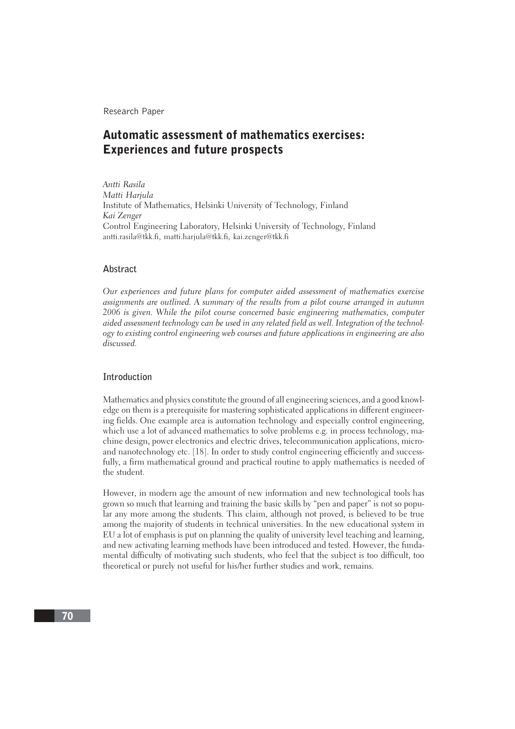Research Paper

# Automatic assessment of mathematics exercises: Experiences and future prospects

Antti Rasila Matti Hariula Institute of Mathematics, Helsinki University of Technology, Finland Kai Zenger Control Engineering Laboratory, Helsinki University of Technology, Finland antti.rasila@tkk.fi, matti.harjula@tkk.fi, kai.zenger@tkk.fi

#### **Abstract**

Our experiences and future plans for computer aided assessment of mathematics exercise assignments are outlined. A summary of the results from a pilot course arranged in autumn 2006 is given. While the pilot course concerned basic engineering mathematics, computer aided assessment technology can be used in any related field as well. Integration of the technology to existing control engineering web courses and future applications in engineering are also discussed.

## **Introduction**

Mathematics and physics constitute the ground of all engineering sciences, and a good knowledge on them is a prerequisite for mastering sophisticated applications in different engineering fields. One example area is automation technology and especially control engineering, which use a lot of advanced mathematics to solve problems e.g. in process technology, machine design, power electronics and electric drives, telecommunication applications, microand nanotechnology etc. [18]. In order to study control engineering efficiently and successfully, a firm mathematical ground and practical routine to apply mathematics is needed of the student.

However, in modern age the amount of new information and new technological tools has grown so much that learning and training the basic skills by "pen and paper" is not so popular any more among the students. This claim, although not proved, is believed to be true among the majority of students in technical universities. In the new educational system in EU a lot of emphasis is put on planning the quality of university level teaching and learning, and new activating learning methods have been introduced and tested. However, the fundamental difficulty of motivating such students, who feel that the subject is too difficult, too theoretical or purely not useful for his/her further studies and work, remains.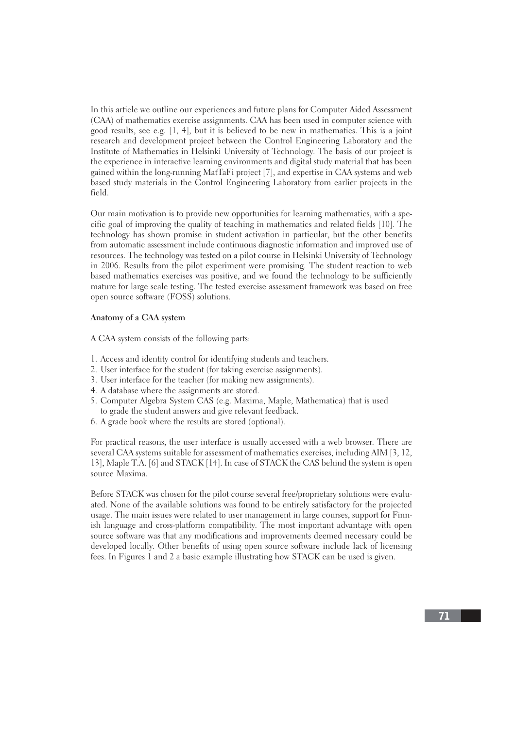In this article we outline our experiences and future plans for Computer Aided Assessment (CAA) of mathematics exercise assignments. CAA has been used in computer science with good results, see e.g. [1, 4], but it is believed to be new in mathematics. This is a joint research and development project between the Control Engineering Laboratory and the Institute of Mathematics in Helsinki University of Technology. The basis of our project is the experience in interactive learning environments and digital study material that has been gained within the long-running MatTaFi project [7], and expertise in CAA systems and web based study materials in the Control Engineering Laboratory from earlier projects in the field.

Our main motivation is to provide new opportunities for learning mathematics, with a specific goal of improving the quality of teaching in mathematics and related fields [10]. The technology has shown promise in student activation in particular, but the other benefits from automatic assessment include continuous diagnostic information and improved use of resources. The technology was tested on a pilot course in Helsinki University of Technology in 2006. Results from the pilot experiment were promising. The student reaction to web based mathematics exercises was positive, and we found the technology to be sufficiently mature for large scale testing. The tested exercise assessment framework was based on free open source software (FOSS) solutions.

# **Anatomy of a CAA system**

A CAA system consists of the following parts:

- 1. Access and identity control for identifying students and teachers.
- 2. User interface for the student (for taking exercise assignments).
- 3. User interface for the teacher (for making new assignments).
- 4. A database where the assignments are stored.
- 5. Computer Algebra System CAS (e.g. Maxima, Maple, Mathematica) that is used to grade the student answers and give relevant feedback.
- 6. A grade book where the results are stored (optional).

For practical reasons, the user interface is usually accessed with a web browser. There are several CAA systems suitable for assessment of mathematics exercises, including AIM [3, 12, 13], Maple T.A. [6] and STACK [14]. In case of STACK the CAS behind the system is open source Maxima.

Before STACK was chosen for the pilot course several free/proprietary solutions were evaluated. None of the available solutions was found to be entirely satisfactory for the projected usage. The main issues were related to user management in large courses, support for Finnish language and cross-platform compatibility. The most important advantage with open source software was that any modifications and improvements deemed necessary could be developed locally. Other benefits of using open source software include lack of licensing fees. In Figures 1 and 2 a basic example illustrating how STACK can be used is given.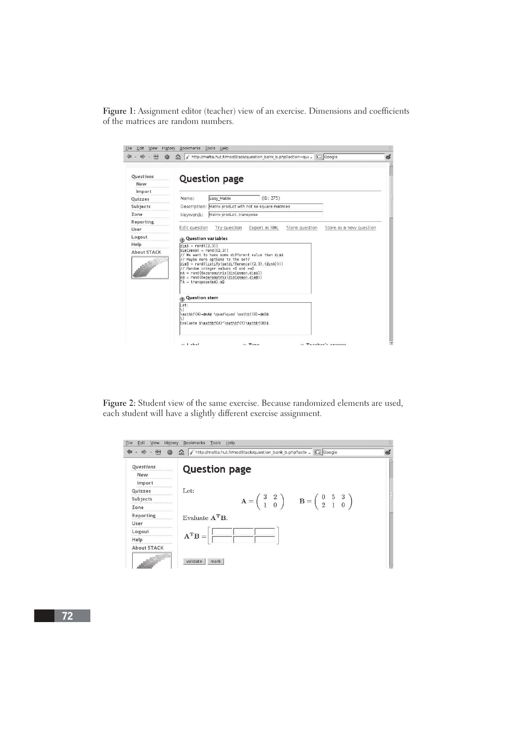Figure 1: Assignment editor (teacher) view of an exercise. Dimensions and coefficients of the matrices are random numbers.



**Figure 2:** Student view of the same exercise. Because randomized elements are used, each student will have a slightly different exercise assignment.

| File<br>Edit<br>View                                              | Bookmarks Tools Help<br>History<br>http://matta.hut.fi/modStack/question_bank_b.php?actic . C Google<br>1.                                                                                                                                                                                                                                                                                                                            | 為 |
|-------------------------------------------------------------------|---------------------------------------------------------------------------------------------------------------------------------------------------------------------------------------------------------------------------------------------------------------------------------------------------------------------------------------------------------------------------------------------------------------------------------------|---|
| Questions<br>New<br>Import                                        | <b>Question page</b>                                                                                                                                                                                                                                                                                                                                                                                                                  | Δ |
| <br><b>Ouizzes</b><br>*******************<br>Subjects<br><br>Zone | Let:<br>$\mathbf{A} = \left( \begin{array}{cc} 3 & 2 \\ 1 & 0 \end{array} \right) \qquad \mathbf{B} = \left( \begin{array}{cc} 0 & 5 & 3 \\ 2 & 1 & 0 \end{array} \right)$                                                                                                                                                                                                                                                            |   |
| <br>Reporting<br><br>User<br>***********************              | Evaluate $A^T B$ .                                                                                                                                                                                                                                                                                                                                                                                                                    |   |
| Logout<br>Help<br>------------------                              | $\mathbf{A}^{\mathbf{T}}\mathbf{B}=% \begin{bmatrix} \mathbf{A}^{\mathbf{T}}\mathbf{B} & \mathbf{A}^{\mathbf{T}}\mathbf{B} & \mathbf{A} & \mathbf{A} & \mathbf{A} & \mathbf{A} \\ \mathbf{A}^{\mathbf{T}}\mathbf{B} & \mathbf{A} & \mathbf{A} & \mathbf{A} & \mathbf{A} & \mathbf{A} \\ \mathbf{A}^{\mathbf{T}}\mathbf{B} & \mathbf{A} & \mathbf{A} & \mathbf{A} & \mathbf{A} & \mathbf{A} \\ \mathbf{A} & \mathbf{A} & \mathbf{A} &$ |   |
| About STACK                                                       | validate<br>mark                                                                                                                                                                                                                                                                                                                                                                                                                      |   |

72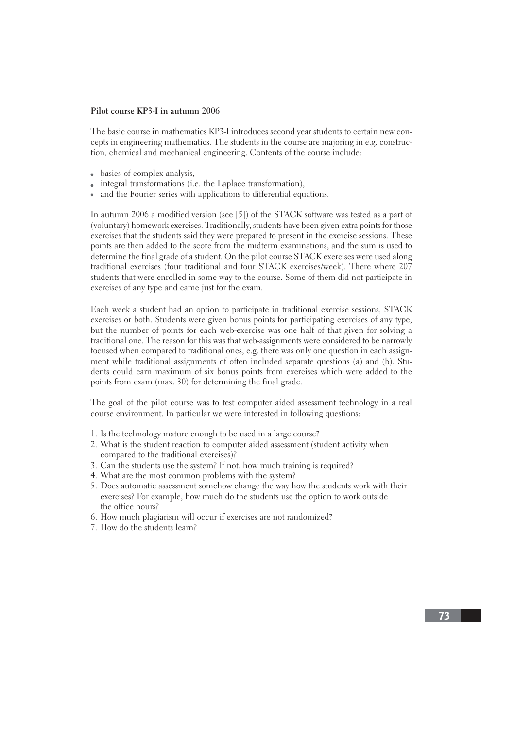## **Pilot course KP3-I in autumn 2006**

The basic course in mathematics KP3-I introduces second year students to certain new concepts in engineering mathematics. The students in the course are majoring in e.g. construction, chemical and mechanical engineering. Contents of the course include:

- basics of complex analysis,
- integral transformations (i.e. the Laplace transformation),
- and the Fourier series with applications to differential equations.

In autumn 2006 a modified version (see [5]) of the STACK software was tested as a part of (voluntary) homework exercises. Traditionally, students have been given extra points for those exercises that the students said they were prepared to present in the exercise sessions. These points are then added to the score from the midterm examinations, and the sum is used to determine the final grade of a student. On the pilot course STACK exercises were used along traditional exercises (four traditional and four STACK exercises/week). There where 207 students that were enrolled in some way to the course. Some of them did not participate in exercises of any type and came just for the exam.

Each week a student had an option to participate in traditional exercise sessions, STACK exercises or both. Students were given bonus points for participating exercises of any type, but the number of points for each web-exercise was one half of that given for solving a traditional one. The reason for this was that web-assignments were considered to be narrowly focused when compared to traditional ones, e.g. there was only one question in each assignment while traditional assignments of often included separate questions (a) and (b). Students could earn maximum of six bonus points from exercises which were added to the points from exam (max. 30) for determining the final grade.

The goal of the pilot course was to test computer aided assessment technology in a real course environment. In particular we were interested in following questions:

- 1. Is the technology mature enough to be used in a large course?
- 2. What is the student reaction to computer aided assessment (student activity when compared to the traditional exercises)?
- 3. Can the students use the system? If not, how much training is required?
- 4. What are the most common problems with the system?
- 5. Does automatic assessment somehow change the way how the students work with their exercises? For example, how much do the students use the option to work outside the office hours?
- 6. How much plagiarism will occur if exercises are not randomized?
- 7. How do the students learn?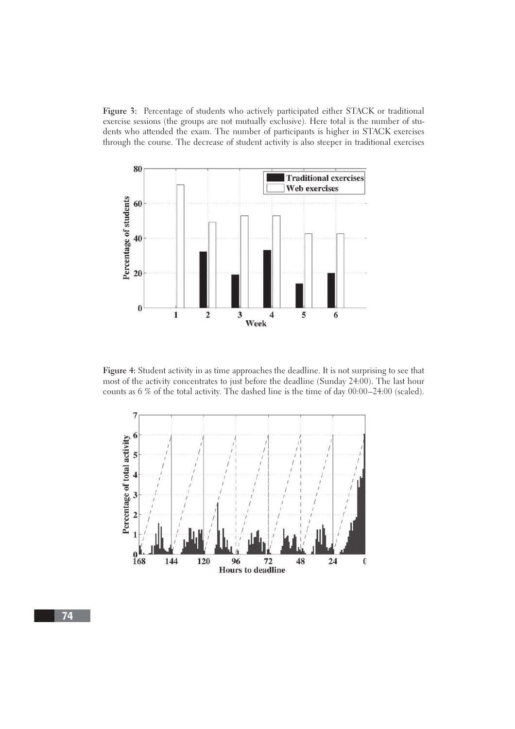**Figure 3:** Percentage of students who actively participated either STACK or traditional exercise sessions (the groups are not mutually exclusive). Here total is the number of students who attended the exam. The number of participants is higher in STACK exercises through the course. The decrease of student activity is also steeper in traditional exercises



**Figure 4:** Student activity in as time approaches the deadline. It is not surprising to see that most of the activity concentrates to just before the deadline (Sunday 24:00). The last hour counts as 6 % of the total activity. The dashed line is the time of day 00:00–24:00 (scaled).



74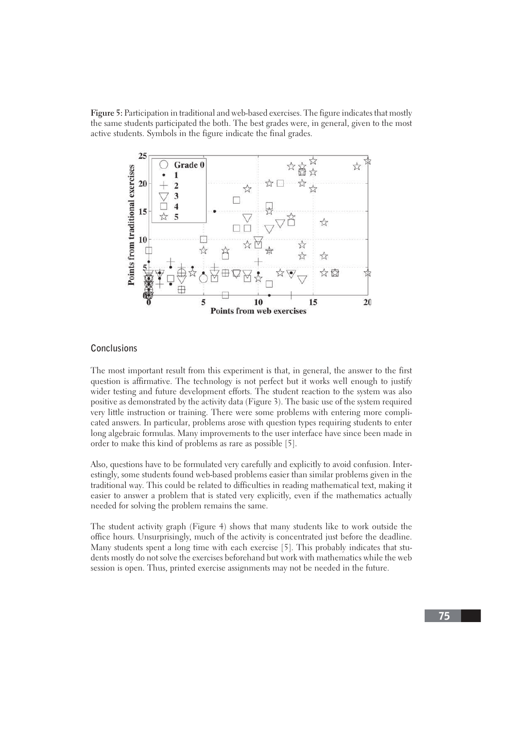**Figure 5:** Participation in traditional and web-based exercises. The figure indicates that mostly the same students participated the both. The best grades were, in general, given to the most active students. Symbols in the figure indicate the final grades.



# **Conclusions**

The most important result from this experiment is that, in general, the answer to the first question is affirmative. The technology is not perfect but it works well enough to justify wider testing and future development efforts. The student reaction to the system was also positive as demonstrated by the activity data (Figure 3). The basic use of the system required very little instruction or training. There were some problems with entering more complicated answers. In particular, problems arose with question types requiring students to enter long algebraic formulas. Many improvements to the user interface have since been made in order to make this kind of problems as rare as possible [5].

Also, questions have to be formulated very carefully and explicitly to avoid confusion. Interestingly, some students found web-based problems easier than similar problems given in the traditional way. This could be related to difficulties in reading mathematical text, making it easier to answer a problem that is stated very explicitly, even if the mathematics actually needed for solving the problem remains the same.

The student activity graph (Figure 4) shows that many students like to work outside the office hours. Unsurprisingly, much of the activity is concentrated just before the deadline. Many students spent a long time with each exercise [5]. This probably indicates that students mostly do not solve the exercises beforehand but work with mathematics while the web session is open. Thus, printed exercise assignments may not be needed in the future.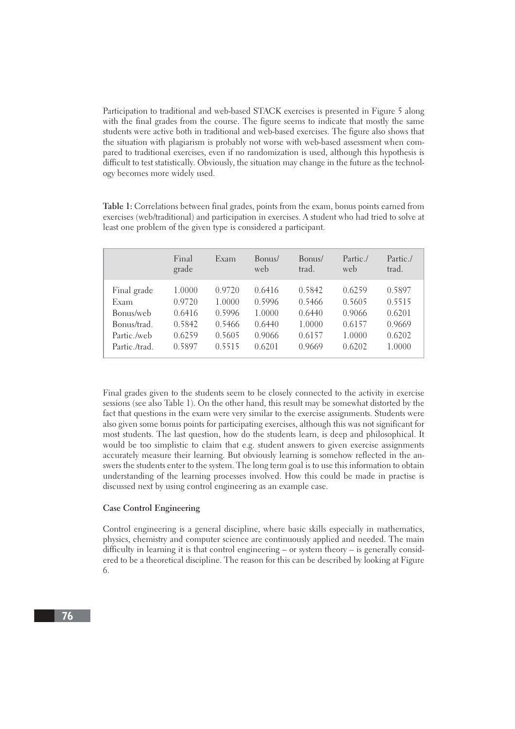Participation to traditional and web-based STACK exercises is presented in Figure 5 along with the final grades from the course. The figure seems to indicate that mostly the same students were active both in traditional and web-based exercises. The figure also shows that the situation with plagiarism is probably not worse with web-based assessment when compared to traditional exercises, even if no randomization is used, although this hypothesis is difficult to test statistically. Obviously, the situation may change in the future as the technology becomes more widely used.

**Table 1:** Correlations between final grades, points from the exam, bonus points earned from exercises (web/traditional) and participation in exercises. A student who had tried to solve at least one problem of the given type is considered a participant.

|              | Final<br>grade | Exam   | Bonus/<br>web | Bonus/<br>trad. | Partic./<br>web | Partic./<br>trad. |
|--------------|----------------|--------|---------------|-----------------|-----------------|-------------------|
| Final grade  | 1.0000         | 0.9720 | 0.6416        | 0.5842          | 0.6259          | 0.5897            |
| Exam         | 0.9720         | 1.0000 | 0.5996        | 0.5466          | 0.5605          | 0.5515            |
| Bonus/web    | 0.6416         | 0.5996 | 1.0000        | 0.6440          | 0.9066          | 0.6201            |
| Bonus/trad.  | 0.5842         | 0.5466 | 0.6440        | 1.0000          | 0.6157          | 0.9669            |
| Partic /web  | 0.6259         | 0.5605 | 0.9066        | 0.6157          | 1.0000          | 0.6202            |
| Partic /trad | 0.5897         | 0.5515 | 0.6201        | 0.9669          | 0.6202          | 1.0000            |

Final grades given to the students seem to be closely connected to the activity in exercise sessions (see also Table 1). On the other hand, this result may be somewhat distorted by the fact that questions in the exam were very similar to the exercise assignments. Students were also given some bonus points for participating exercises, although this was not significant for most students. The last question, how do the students learn, is deep and philosophical. It would be too simplistic to claim that e.g. student answers to given exercise assignments accurately measure their learning. But obviously learning is somehow reflected in the answers the students enter to the system. The long term goal is to use this information to obtain understanding of the learning processes involved. How this could be made in practise is discussed next by using control engineering as an example case.

### **Case Control Engineering**

Control engineering is a general discipline, where basic skills especially in mathematics, physics, chemistry and computer science are continuously applied and needed. The main difficulty in learning it is that control engineering – or system theory – is generally considered to be a theoretical discipline. The reason for this can be described by looking at Figure 6.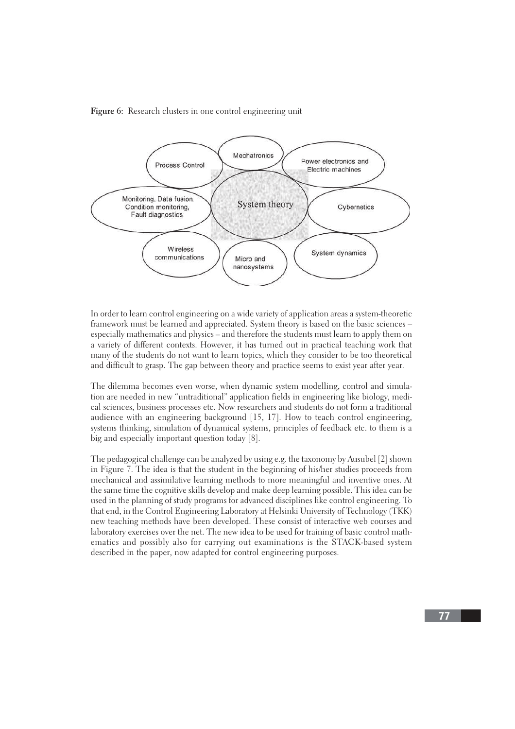



In order to learn control engineering on a wide variety of application areas a system-theoretic framework must be learned and appreciated. System theory is based on the basic sciences – especially mathematics and physics – and therefore the students must learn to apply them on a variety of different contexts. However, it has turned out in practical teaching work that many of the students do not want to learn topics, which they consider to be too theoretical and difficult to grasp. The gap between theory and practice seems to exist year after year.

The dilemma becomes even worse, when dynamic system modelling, control and simulation are needed in new "untraditional" application fields in engineering like biology, medical sciences, business processes etc. Now researchers and students do not form a traditional audience with an engineering background [15, 17]. How to teach control engineering, systems thinking, simulation of dynamical systems, principles of feedback etc. to them is a big and especially important question today [8].

The pedagogical challenge can be analyzed by using e.g. the taxonomy by Ausubel [2] shown in Figure 7. The idea is that the student in the beginning of his/her studies proceeds from mechanical and assimilative learning methods to more meaningful and inventive ones. At the same time the cognitive skills develop and make deep learning possible. This idea can be used in the planning of study programs for advanced disciplines like control engineering. To that end, in the Control Engineering Laboratory at Helsinki University of Technology (TKK) new teaching methods have been developed. These consist of interactive web courses and laboratory exercises over the net. The new idea to be used for training of basic control mathematics and possibly also for carrying out examinations is the STACK-based system described in the paper, now adapted for control engineering purposes.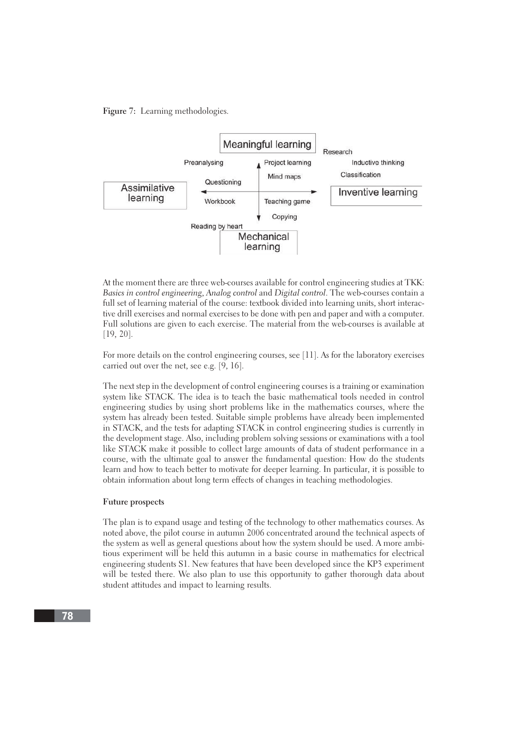**Figure 7:** Learning methodologies.



At the moment there are three web-courses available for control engineering studies at TKK: Basics in control engineering, Analog control and Digital control. The web-courses contain a full set of learning material of the course: textbook divided into learning units, short interactive drill exercises and normal exercises to be done with pen and paper and with a computer. Full solutions are given to each exercise. The material from the web-courses is available at [19, 20].

For more details on the control engineering courses, see [11]. As for the laboratory exercises carried out over the net, see e.g. [9, 16].

The next step in the development of control engineering courses is a training or examination system like STACK. The idea is to teach the basic mathematical tools needed in control engineering studies by using short problems like in the mathematics courses, where the system has already been tested. Suitable simple problems have already been implemented in STACK, and the tests for adapting STACK in control engineering studies is currently in the development stage. Also, including problem solving sessions or examinations with a tool like STACK make it possible to collect large amounts of data of student performance in a course, with the ultimate goal to answer the fundamental question: How do the students learn and how to teach better to motivate for deeper learning. In particular, it is possible to obtain information about long term effects of changes in teaching methodologies.

#### **Future prospects**

The plan is to expand usage and testing of the technology to other mathematics courses. As noted above, the pilot course in autumn 2006 concentrated around the technical aspects of the system as well as general questions about how the system should be used. A more ambitious experiment will be held this autumn in a basic course in mathematics for electrical engineering students S1. New features that have been developed since the KP3 experiment will be tested there. We also plan to use this opportunity to gather thorough data about student attitudes and impact to learning results.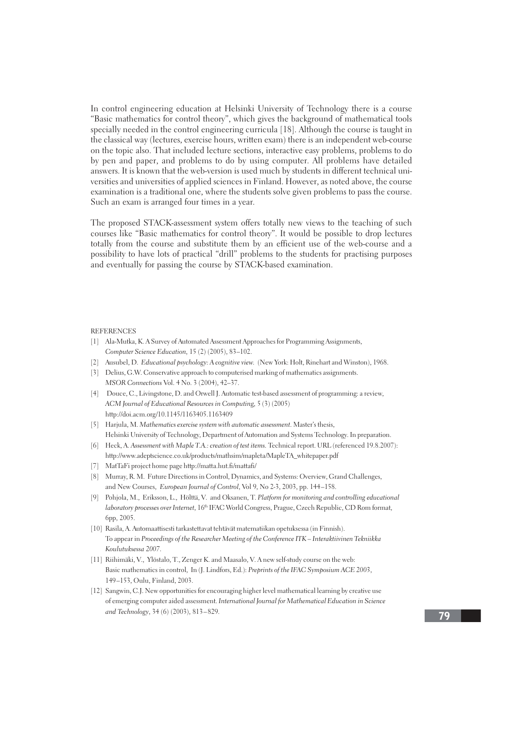In control engineering education at Helsinki University of Technology there is a course "Basic mathematics for control theory", which gives the background of mathematical tools specially needed in the control engineering curricula [18]. Although the course is taught in the classical way (lectures, exercise hours, written exam) there is an independent web-course on the topic also. That included lecture sections, interactive easy problems, problems to do by pen and paper, and problems to do by using computer. All problems have detailed answers. It is known that the web-version is used much by students in different technical universities and universities of applied sciences in Finland. However, as noted above, the course examination is a traditional one, where the students solve given problems to pass the course. Such an exam is arranged four times in a year.

The proposed STACK-assessment system offers totally new views to the teaching of such courses like "Basic mathematics for control theory". It would be possible to drop lectures totally from the course and substitute them by an efficient use of the web-course and a possibility to have lots of practical "drill" problems to the students for practising purposes and eventually for passing the course by STACK-based examination.

#### **REFERENCES**

- [1] Ala-Mutka, K. A Survey of Automated Assessment Approaches for Programming Assignments, Computer Science Education, 15 (2) (2005), 83–102.
- [2] Ausubel, D. Educational psychology: A cognitive view. (New York: Holt, Rinehart and Winston), 1968.
- [3] Delius, G.W. Conservative approach to computerised marking of mathematics assignments. MSOR Connections Vol. 4 No. 3 (2004), 42–37.
- [4] Douce, C., Livingstone, D. and Orwell J. Automatic test-based assessment of programming: a review, ACM Journal of Educational Resources in Computing, 5 (3) (2005) http://doi.acm.org/10.1145/1163405.1163409
- [5] Harjula, M. Mathematics exercise system with automatic assessment. Master's thesis, Helsinki University of Technology, Department of Automation and Systems Technology. In preparation.
- [6] Heck, A. Assessment with Maple T.A.: creation of test items. Technical report. URL (referenced 19.8.2007): http://www.adeptscience.co.uk/products/mathsim/mapleta/MapleTA\_whitepaper.pdf
- [7] MatTaFi project home page http://matta.hut.fi/mattafi/
- [8] Murray, R. M. Future Directions in Control, Dynamics, and Systems: Overview, Grand Challenges, and New Courses, European Journal of Control, Vol 9, No 2-3, 2003, pp. 144–158.
- [9] Pohjola, M., Eriksson, L., Hölttä, V. and Oksanen, T. Platform for monitoring and controlling educational laboratory processes over Internet, 16<sup>th</sup> IFAC World Congress, Prague, Czech Republic, CD Rom format, 6pp, 2005.
- [10] Rasila, A. Automaattisesti tarkastettavat tehtävät matematiikan opetuksessa (in Finnish). To appear in Proceedings of the Researcher Meeting of the Conference ITK – Interaktiivinen Tekniikka Koulutuksessa 2007.
- [11] Riihimäki, V., Ylöstalo, T., Zenger K. and Maasalo, V. A new self-study course on the web: Basic mathematics in control, In (J. Lindfors, Ed.): Preprints of the IFAC Symposium ACE 2003, 149–153, Oulu, Finland, 2003.
- [12] Sangwin, C.J. New opportunities for encouraging higher level mathematical learning by creative use of emerging computer aided assessment. International Journal for Mathematical Education in Science and Technology, 34 (6) (2003), 813–829.